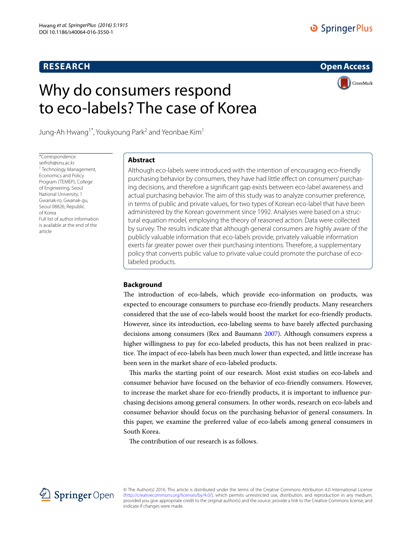# **RESEARCH**

# O SpringerPlus

**Open Access**

# Why do consumers respond to eco‑labels? The case of Korea



Jung-Ah Hwang $^{\dagger^*}$ , Youkyoung Park $^2$  and Yeonbae Kim $^{\dagger}$ 

\*Correspondence: seifroh@snu.ac.kr 1 Technology Management, Economics and Policy Program (TEMEP), College of Engineering, Seoul National University, 1 Gwanak‑ro, Gwanak‑gu, Seoul 08826, Republic of Korea Full list of author information is available at the end of the article

# **Abstract**

Although eco-labels were introduced with the intention of encouraging eco-friendly purchasing behavior by consumers, they have had little effect on consumers' purchas‑ ing decisions, and therefore a significant gap exists between eco-label awareness and actual purchasing behavior. The aim of this study was to analyze consumer preference, in terms of public and private values, for two types of Korean eco-label that have been administered by the Korean government since 1992. Analyses were based on a structural equation model, employing the theory of reasoned action. Data were collected by survey. The results indicate that although general consumers are highly aware of the publicly valuable information that eco-labels provide, privately valuable information exerts far greater power over their purchasing intentions. Therefore, a supplementary policy that converts public value to private value could promote the purchase of ecolabeled products.

# **Background**

The introduction of eco-labels, which provide eco-information on products, was expected to encourage consumers to purchase eco-friendly products. Many researchers considered that the use of eco-labels would boost the market for eco-friendly products. However, since its introduction, eco-labeling seems to have barely affected purchasing decisions among consumers (Rex and Baumann [2007\)](#page-12-0). Although consumers express a higher willingness to pay for eco-labeled products, this has not been realized in practice. The impact of eco-labels has been much lower than expected, and little increase has been seen in the market share of eco-labeled products.

This marks the starting point of our research. Most exist studies on eco-labels and consumer behavior have focused on the behavior of eco-friendly consumers. However, to increase the market share for eco-friendly products, it is important to influence purchasing decisions among general consumers. In other words, research on eco-labels and consumer behavior should focus on the purchasing behavior of general consumers. In this paper, we examine the preferred value of eco-labels among general consumers in South Korea.

The contribution of our research is as follows.



© The Author(s) 2016. This article is distributed under the terms of the Creative Commons Attribution 4.0 International License [\(http://creativecommons.org/licenses/by/4.0/](http://creativecommons.org/licenses/by/4.0/)), which permits unrestricted use, distribution, and reproduction in any medium, provided you give appropriate credit to the original author(s) and the source, provide a link to the Creative Commons license, and indicate if changes were made.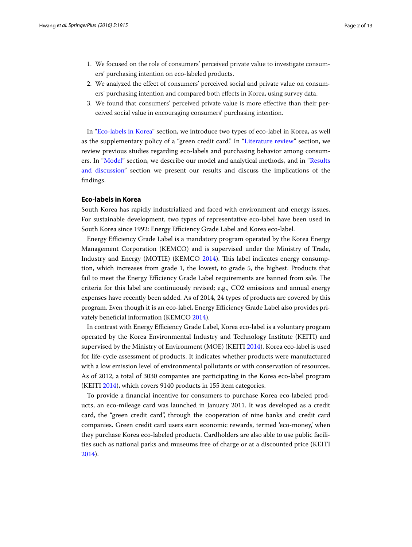- 1. We focused on the role of consumers' perceived private value to investigate consumers' purchasing intention on eco-labeled products.
- 2. We analyzed the effect of consumers' perceived social and private value on consumers' purchasing intention and compared both effects in Korea, using survey data.
- 3. We found that consumers' perceived private value is more effective than their perceived social value in encouraging consumers' purchasing intention.

In "[Eco-labels in Korea"](#page-1-0) section, we introduce two types of eco-label in Korea, as well as the supplementary policy of a "green credit card." In ["Literature review"](#page-2-0) section, we review previous studies regarding eco-labels and purchasing behavior among consumers. In ["Model"](#page-4-0) section, we describe our model and analytical methods, and in ["Results](#page-6-0)  [and discussion"](#page-6-0) section we present our results and discuss the implications of the findings.

## <span id="page-1-0"></span>**Eco‑labels in Korea**

South Korea has rapidly industrialized and faced with environment and energy issues. For sustainable development, two types of representative eco-label have been used in South Korea since 1992: Energy Efficiency Grade Label and Korea eco-label.

Energy Efficiency Grade Label is a mandatory program operated by the Korea Energy Management Corporation (KEMCO) and is supervised under the Ministry of Trade, Industry and Energy (MOTIE) (KEMCO [2014](#page-11-0)). This label indicates energy consumption, which increases from grade 1, the lowest, to grade 5, the highest. Products that fail to meet the Energy Efficiency Grade Label requirements are banned from sale. The criteria for this label are continuously revised; e.g., CO2 emissions and annual energy expenses have recently been added. As of 2014, 24 types of products are covered by this program. Even though it is an eco-label, Energy Efficiency Grade Label also provides privately beneficial information (KEMCO [2014\)](#page-11-0).

In contrast with Energy Efficiency Grade Label, Korea eco-label is a voluntary program operated by the Korea Environmental Industry and Technology Institute (KEITI) and supervised by the Ministry of Environment (MOE) (KEITI [2014\)](#page-11-1). Korea eco-label is used for life-cycle assessment of products. It indicates whether products were manufactured with a low emission level of environmental pollutants or with conservation of resources. As of 2012, a total of 3030 companies are participating in the Korea eco-label program (KEITI [2014](#page-11-1)), which covers 9140 products in 155 item categories.

To provide a financial incentive for consumers to purchase Korea eco-labeled products, an eco-mileage card was launched in January 2011. It was developed as a credit card, the "green credit card", through the cooperation of nine banks and credit card companies. Green credit card users earn economic rewards, termed 'eco-money,' when they purchase Korea eco-labeled products. Cardholders are also able to use public facilities such as national parks and museums free of charge or at a discounted price (KEITI [2014](#page-11-1)).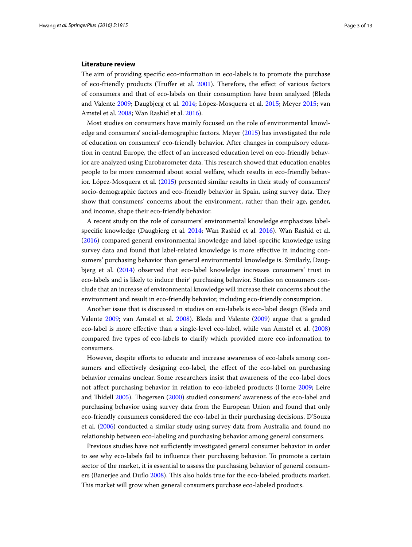#### <span id="page-2-0"></span>**Literature review**

The aim of providing specific eco-information in eco-labels is to promote the purchase of eco-friendly products (Truffer et al. [2001\)](#page-12-1). Therefore, the effect of various factors of consumers and that of eco-labels on their consumption have been analyzed (Bleda and Valente [2009](#page-11-2); Daugbjerg et al. [2014](#page-11-3); López-Mosquera et al. [2015](#page-11-4); Meyer [2015;](#page-11-5) van Amstel et al. [2008](#page-12-2); Wan Rashid et al. [2016\)](#page-12-3).

Most studies on consumers have mainly focused on the role of environmental knowledge and consumers' social-demographic factors. Meyer [\(2015](#page-11-5)) has investigated the role of education on consumers' eco-friendly behavior. After changes in compulsory education in central Europe, the effect of an increased education level on eco-friendly behavior are analyzed using Eurobarometer data. This research showed that education enables people to be more concerned about social welfare, which results in eco-friendly behavior. López-Mosquera et al. [\(2015](#page-11-4)) presented similar results in their study of consumers' socio-demographic factors and eco-friendly behavior in Spain, using survey data. They show that consumers' concerns about the environment, rather than their age, gender, and income, shape their eco-friendly behavior.

A recent study on the role of consumers' environmental knowledge emphasizes labelspecific knowledge (Daugbjerg et al. [2014;](#page-11-3) Wan Rashid et al. [2016\)](#page-12-3). Wan Rashid et al. ([2016\)](#page-12-3) compared general environmental knowledge and label-specific knowledge using survey data and found that label-related knowledge is more effective in inducing consumers' purchasing behavior than general environmental knowledge is. Similarly, Daugbjerg et al. [\(2014\)](#page-11-3) observed that eco-label knowledge increases consumers' trust in eco-labels and is likely to induce their' purchasing behavior. Studies on consumers conclude that an increase of environmental knowledge will increase their concerns about the environment and result in eco-friendly behavior, including eco-friendly consumption.

Another issue that is discussed in studies on eco-labels is eco-label design (Bleda and Valente [2009;](#page-11-2) van Amstel et al. [2008](#page-12-2)). Bleda and Valente [\(2009](#page-11-2)) argue that a graded eco-label is more effective than a single-level eco-label, while van Amstel et al. ([2008](#page-12-2)) compared five types of eco-labels to clarify which provided more eco-information to consumers.

However, despite efforts to educate and increase awareness of eco-labels among consumers and effectively designing eco-label, the effect of the eco-label on purchasing behavior remains unclear. Some researchers insist that awareness of the eco-label does not affect purchasing behavior in relation to eco-labeled products (Horne [2009](#page-11-6); Leire and Thidell [2005\)](#page-11-7). Thøgersen ([2000](#page-12-4)) studied consumers' awareness of the eco-label and purchasing behavior using survey data from the European Union and found that only eco-friendly consumers considered the eco-label in their purchasing decisions. D'Souza et al. [\(2006](#page-11-8)) conducted a similar study using survey data from Australia and found no relationship between eco-labeling and purchasing behavior among general consumers.

Previous studies have not sufficiently investigated general consumer behavior in order to see why eco-labels fail to influence their purchasing behavior. To promote a certain sector of the market, it is essential to assess the purchasing behavior of general consumers (Banerjee and Duflo [2008\)](#page-11-9). This also holds true for the eco-labeled products market. This market will grow when general consumers purchase eco-labeled products.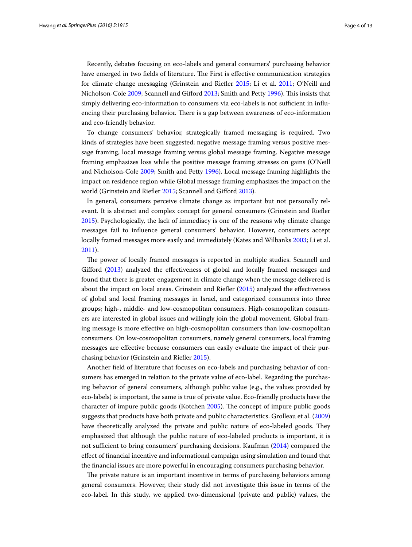Recently, debates focusing on eco-labels and general consumers' purchasing behavior have emerged in two fields of literature. The First is effective communication strategies for climate change messaging (Grinstein and Riefler [2015;](#page-11-10) Li et al. [2011](#page-11-11); O'Neill and Nicholson-Cole [2009](#page-11-12); Scannell and Gifford [2013;](#page-12-5) Smith and Petty [1996](#page-12-6)). This insists that simply delivering eco-information to consumers via eco-labels is not sufficient in influencing their purchasing behavior. There is a gap between awareness of eco-information and eco-friendly behavior.

To change consumers' behavior, strategically framed messaging is required. Two kinds of strategies have been suggested; negative message framing versus positive message framing, local message framing versus global message framing. Negative message framing emphasizes loss while the positive message framing stresses on gains (O'Neill and Nicholson-Cole [2009;](#page-11-12) Smith and Petty [1996](#page-12-6)). Local message framing highlights the impact on residence region while Global message framing emphasizes the impact on the world (Grinstein and Riefler [2015](#page-11-10); Scannell and Gifford [2013\)](#page-12-5).

In general, consumers perceive climate change as important but not personally relevant. It is abstract and complex concept for general consumers (Grinstein and Riefler [2015](#page-11-10)). Psychologically, the lack of immediacy is one of the reasons why climate change messages fail to influence general consumers' behavior. However, consumers accept locally framed messages more easily and immediately (Kates and Wilbanks [2003](#page-11-13); Li et al. [2011](#page-11-11)).

The power of locally framed messages is reported in multiple studies. Scannell and Gifford ([2013](#page-12-5)) analyzed the effectiveness of global and locally framed messages and found that there is greater engagement in climate change when the message delivered is about the impact on local areas. Grinstein and Riefler ([2015](#page-11-10)) analyzed the effectiveness of global and local framing messages in Israel, and categorized consumers into three groups; high-, middle- and low-cosmopolitan consumers. High-cosmopolitan consumers are interested in global issues and willingly join the global movement. Global framing message is more effective on high-cosmopolitan consumers than low-cosmopolitan consumers. On low-cosmopolitan consumers, namely general consumers, local framing messages are effective because consumers can easily evaluate the impact of their purchasing behavior (Grinstein and Riefler [2015](#page-11-10)).

Another field of literature that focuses on eco-labels and purchasing behavior of consumers has emerged in relation to the private value of eco-label. Regarding the purchasing behavior of general consumers, although public value (e.g., the values provided by eco-labels) is important, the same is true of private value. Eco-friendly products have the character of impure public goods (Kotchen [2005\)](#page-11-14). The concept of impure public goods suggests that products have both private and public characteristics. Grolleau et al. ([2009](#page-11-15)) have theoretically analyzed the private and public nature of eco-labeled goods. They emphasized that although the public nature of eco-labeled products is important, it is not sufficient to bring consumers' purchasing decisions. Kaufman ([2014\)](#page-11-16) compared the effect of financial incentive and informational campaign using simulation and found that the financial issues are more powerful in encouraging consumers purchasing behavior.

The private nature is an important incentive in terms of purchasing behaviors among general consumers. However, their study did not investigate this issue in terms of the eco-label. In this study, we applied two-dimensional (private and public) values, the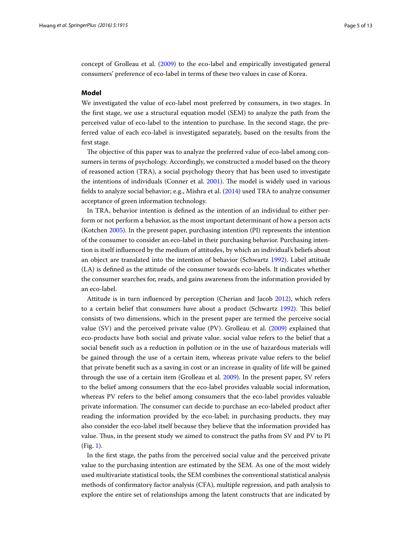concept of Grolleau et al. ([2009](#page-11-15)) to the eco-label and empirically investigated general consumers' preference of eco-label in terms of these two values in case of Korea.

#### <span id="page-4-0"></span>**Model**

We investigated the value of eco-label most preferred by consumers, in two stages. In the first stage, we use a structural equation model (SEM) to analyze the path from the perceived value of eco-label to the intention to purchase. In the second stage, the preferred value of each eco-label is investigated separately, based on the results from the first stage.

The objective of this paper was to analyze the preferred value of eco-label among consumers in terms of psychology. Accordingly, we constructed a model based on the theory of reasoned action (TRA), a social psychology theory that has been used to investigate the intentions of individuals (Conner et al. [2001](#page-11-17)). The model is widely used in various fields to analyze social behavior; e.g., Mishra et al. [\(2014\)](#page-11-18) used TRA to analyze consumer acceptance of green information technology.

In TRA, behavior intention is defined as the intention of an individual to either perform or not perform a behavior, as the most important determinant of how a person acts (Kotchen [2005\)](#page-11-14). In the present paper, purchasing intention (PI) represents the intention of the consumer to consider an eco-label in their purchasing behavior. Purchasing intention is itself influenced by the medium of attitudes, by which an individual's beliefs about an object are translated into the intention of behavior (Schwartz [1992](#page-12-7)). Label attitude (LA) is defined as the attitude of the consumer towards eco-labels. It indicates whether the consumer searches for, reads, and gains awareness from the information provided by an eco-label.

Attitude is in turn influenced by perception (Cherian and Jacob [2012](#page-11-19)), which refers to a certain belief that consumers have about a product (Schwartz [1992\)](#page-12-7). This belief consists of two dimensions, which in the present paper are termed the perceive social value (SV) and the perceived private value (PV). Grolleau et al. ([2009\)](#page-11-15) explained that eco-products have both social and private value. social value refers to the belief that a social benefit such as a reduction in pollution or in the use of hazardous materials will be gained through the use of a certain item, whereas private value refers to the belief that private benefit such as a saving in cost or an increase in quality of life will be gained through the use of a certain item (Grolleau et al. [2009](#page-11-15)). In the present paper, SV refers to the belief among consumers that the eco-label provides valuable social information, whereas PV refers to the belief among consumers that the eco-label provides valuable private information. The consumer can decide to purchase an eco-labeled product after reading the information provided by the eco-label; in purchasing products, they may also consider the eco-label itself because they believe that the information provided has value. Thus, in the present study we aimed to construct the paths from SV and PV to PI (Fig. [1\)](#page-5-0).

In the first stage, the paths from the perceived social value and the perceived private value to the purchasing intention are estimated by the SEM. As one of the most widely used multivariate statistical tools, the SEM combines the conventional statistical analysis methods of confirmatory factor analysis (CFA), multiple regression, and path analysis to explore the entire set of relationships among the latent constructs that are indicated by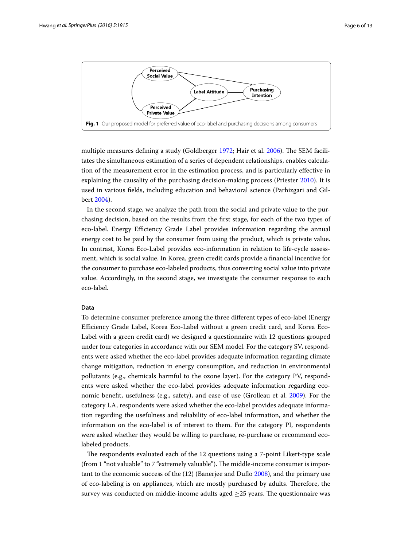

<span id="page-5-0"></span>multiple measures defining a study (Goldberger [1972;](#page-11-20) Hair et al. [2006](#page-11-21)). The SEM facilitates the simultaneous estimation of a series of dependent relationships, enables calculation of the measurement error in the estimation process, and is particularly effective in explaining the causality of the purchasing decision-making process (Priester [2010\)](#page-12-8). It is used in various fields, including education and behavioral science (Parhizgari and Gilbert [2004](#page-12-9)).

In the second stage, we analyze the path from the social and private value to the purchasing decision, based on the results from the first stage, for each of the two types of eco-label. Energy Efficiency Grade Label provides information regarding the annual energy cost to be paid by the consumer from using the product, which is private value. In contrast, Korea Eco-Label provides eco-information in relation to life-cycle assessment, which is social value. In Korea, green credit cards provide a financial incentive for the consumer to purchase eco-labeled products, thus converting social value into private value. Accordingly, in the second stage, we investigate the consumer response to each eco-label.

#### **Data**

To determine consumer preference among the three different types of eco-label (Energy Efficiency Grade Label, Korea Eco-Label without a green credit card, and Korea Eco-Label with a green credit card) we designed a questionnaire with 12 questions grouped under four categories in accordance with our SEM model. For the category SV, respondents were asked whether the eco-label provides adequate information regarding climate change mitigation, reduction in energy consumption, and reduction in environmental pollutants (e.g., chemicals harmful to the ozone layer). For the category PV, respondents were asked whether the eco-label provides adequate information regarding economic benefit, usefulness (e.g., safety), and ease of use (Grolleau et al. [2009](#page-11-15)). For the category LA, respondents were asked whether the eco-label provides adequate information regarding the usefulness and reliability of eco-label information, and whether the information on the eco-label is of interest to them. For the category PI, respondents were asked whether they would be willing to purchase, re-purchase or recommend ecolabeled products.

The respondents evaluated each of the 12 questions using a 7-point Likert-type scale (from 1 "not valuable" to 7 "extremely valuable"). The middle-income consumer is important to the economic success of the (12) (Banerjee and Duflo [2008](#page-11-9)), and the primary use of eco-labeling is on appliances, which are mostly purchased by adults. Therefore, the survey was conducted on middle-income adults aged  $\geq$  25 years. The questionnaire was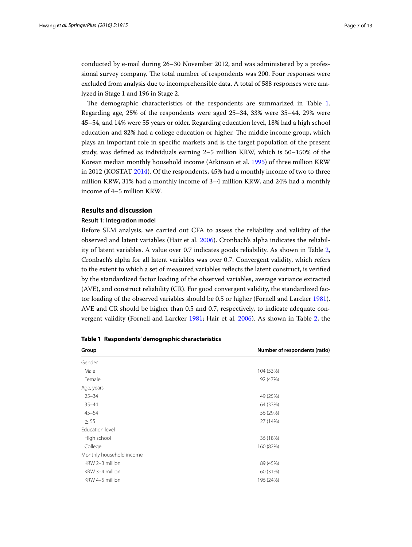conducted by e-mail during 26–30 November 2012, and was administered by a professional survey company. The total number of respondents was 200. Four responses were excluded from analysis due to incomprehensible data. A total of 588 responses were analyzed in Stage 1 and 196 in Stage 2.

The demographic characteristics of the respondents are summarized in Table [1](#page-6-1). Regarding age, 25% of the respondents were aged 25–34, 33% were 35–44, 29% were 45–54, and 14% were 55 years or older. Regarding education level, 18% had a high school education and 82% had a college education or higher. The middle income group, which plays an important role in specific markets and is the target population of the present study, was defined as individuals earning 2–5 million KRW, which is 50–150% of the Korean median monthly household income (Atkinson et al. [1995\)](#page-11-22) of three million KRW in 2012 (KOSTAT [2014](#page-11-23)). Of the respondents, 45% had a monthly income of two to three million KRW, 31% had a monthly income of 3–4 million KRW, and 24% had a monthly income of 4–5 million KRW.

# <span id="page-6-0"></span>**Results and discussion**

## **Result 1: Integration model**

Before SEM analysis, we carried out CFA to assess the reliability and validity of the observed and latent variables (Hair et al. [2006\)](#page-11-21). Cronbach's alpha indicates the reliability of latent variables. A value over 0.7 indicates goods reliability. As shown in Table [2](#page-7-0), Cronbach's alpha for all latent variables was over 0.7. Convergent validity, which refers to the extent to which a set of measured variables reflects the latent construct, is verified by the standardized factor loading of the observed variables, average variance extracted (AVE), and construct reliability (CR). For good convergent validity, the standardized factor loading of the observed variables should be 0.5 or higher (Fornell and Larcker [1981](#page-11-24)). AVE and CR should be higher than 0.5 and 0.7, respectively, to indicate adequate convergent validity (Fornell and Larcker [1981](#page-11-24); Hair et al. [2006\)](#page-11-21). As shown in Table [2,](#page-7-0) the

| Group                    | Number of respondents (ratio) |  |  |
|--------------------------|-------------------------------|--|--|
| Gender                   |                               |  |  |
| Male                     | 104 (53%)                     |  |  |
| Female                   | 92 (47%)                      |  |  |
| Age, years               |                               |  |  |
| $25 - 34$                | 49 (25%)                      |  |  |
| $35 - 44$                | 64 (33%)                      |  |  |
| $45 - 54$                | 56 (29%)                      |  |  |
| $\geq$ 55                | 27 (14%)                      |  |  |
| Education level          |                               |  |  |
| High school              | 36 (18%)                      |  |  |
| College                  | 160 (82%)                     |  |  |
| Monthly household income |                               |  |  |
| KRW 2-3 million          | 89 (45%)                      |  |  |
| KRW 3-4 million          | 60 (31%)                      |  |  |
| KRW 4-5 million          | 196 (24%)                     |  |  |

<span id="page-6-1"></span>**Table 1 Respondents' demographic characteristics**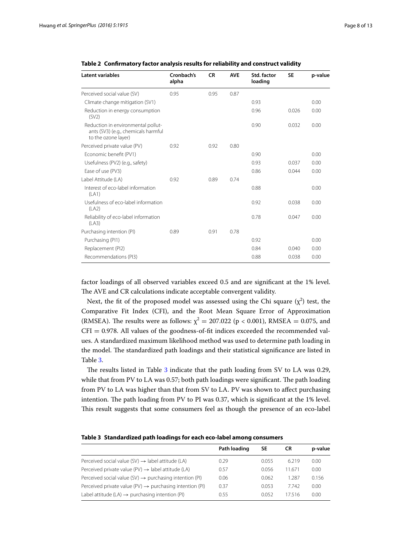| <b>Latent variables</b>                                                                          | Cronbach's<br>alpha | <b>CR</b> | <b>AVE</b> | Std. factor<br>loading | <b>SE</b> | p-value |
|--------------------------------------------------------------------------------------------------|---------------------|-----------|------------|------------------------|-----------|---------|
| Perceived social value (SV)                                                                      | 0.95                | 0.95      | 0.87       |                        |           |         |
| Climate change mitigation (SV1)                                                                  |                     |           |            | 0.93                   |           | 0.00    |
| Reduction in energy consumption<br>(SV2)                                                         |                     |           |            | 0.96                   | 0.026     | 0.00    |
| Reduction in environmental pollut-<br>ants (SV3) (e.g., chemicals harmful<br>to the ozone layer) |                     |           |            | 0.90                   | 0.032     | 0.00    |
| Perceived private value (PV)                                                                     | 0.92                | 0.92      | 0.80       |                        |           |         |
| Economic benefit (PV1)                                                                           |                     |           |            | 0.90                   |           | 0.00    |
| Usefulness (PV2) (e.g., safety)                                                                  |                     |           |            | 0.93                   | 0.037     | 0.00    |
| Ease of use (PV3)                                                                                |                     |           |            | 0.86                   | 0.044     | 0.00    |
| Label Attitude (LA)                                                                              | 0.92                | 0.89      | 0.74       |                        |           |         |
| Interest of eco-label information<br>(LA1)                                                       |                     |           |            | 0.88                   |           | 0.00    |
| Usefulness of eco-label information<br>(LA2)                                                     |                     |           |            | 0.92                   | 0.038     | 0.00    |
| Reliability of eco-label information<br>(LA3)                                                    |                     |           |            | 0.78                   | 0.047     | 0.00    |
| Purchasing intention (PI)                                                                        | 0.89                | 0.91      | 0.78       |                        |           |         |
| Purchasing (PI1)                                                                                 |                     |           |            | 0.92                   |           | 0.00    |
| Replacement (PI2)                                                                                |                     |           |            | 0.84                   | 0.040     | 0.00    |
| Recommendations (PI3)                                                                            |                     |           |            | 0.88                   | 0.038     | 0.00    |

<span id="page-7-0"></span>**Table 2 Confirmatory factor analysis results for reliability and construct validity**

factor loadings of all observed variables exceed 0.5 and are significant at the 1% level. The AVE and CR calculations indicate acceptable convergent validity.

Next, the fit of the proposed model was assessed using the Chi square  $(\chi^2)$  test, the Comparative Fit Index (CFI), and the Root Mean Square Error of Approximation (RMSEA). The results were as follows:  $\chi^2 = 207.022$  (p < 0.001), RMSEA = 0.075, and  $CFI = 0.978$ . All values of the goodness-of-fit indices exceeded the recommended values. A standardized maximum likelihood method was used to determine path loading in the model. The standardized path loadings and their statistical significance are listed in Table [3](#page-7-1).

The results listed in Table [3](#page-7-1) indicate that the path loading from SV to LA was 0.29, while that from PV to LA was 0.57; both path loadings were significant. The path loading from PV to LA was higher than that from SV to LA. PV was shown to affect purchasing intention. The path loading from PV to PI was 0.37, which is significant at the 1% level. This result suggests that some consumers feel as though the presence of an eco-label

<span id="page-7-1"></span>

|  | Table 3 Standardized path loadings for each eco-label among consumers |  |  |  |
|--|-----------------------------------------------------------------------|--|--|--|
|--|-----------------------------------------------------------------------|--|--|--|

|                                                                      | Path loading | SE    | CR     | p-value |
|----------------------------------------------------------------------|--------------|-------|--------|---------|
| Perceived social value (SV) $\rightarrow$ label attitude (LA)        | 0.29         | 0.055 | 6219   | 0.00    |
| Perceived private value (PV) $\rightarrow$ label attitude (LA)       | 0.57         | 0.056 | 11.671 | 0.00    |
| Perceived social value (SV) $\rightarrow$ purchasing intention (PI)  | 0.06         | 0.062 | 1.287  | 0.156   |
| Perceived private value (PV) $\rightarrow$ purchasing intention (PI) | 0.37         | 0.053 | 7.742  | 0.00    |
| Label attitude (LA) $\rightarrow$ purchasing intention (PI)          | 0.55         | 0.052 | 17516  | 0.00    |
|                                                                      |              |       |        |         |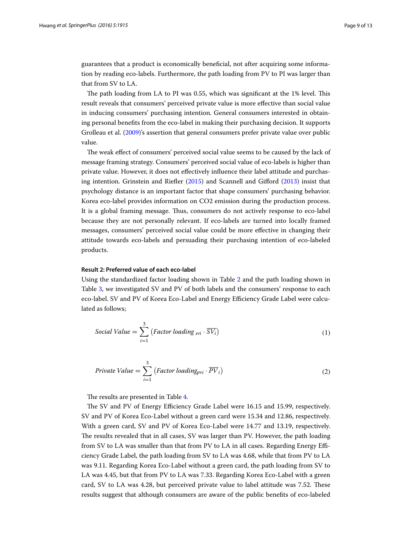guarantees that a product is economically beneficial, not after acquiring some information by reading eco-labels. Furthermore, the path loading from PV to PI was larger than that from SV to LA.

The path loading from LA to PI was 0.55, which was significant at the 1% level. This result reveals that consumers' perceived private value is more effective than social value in inducing consumers' purchasing intention. General consumers interested in obtaining personal benefits from the eco-label in making their purchasing decision. It supports Grolleau et al. [\(2009\)](#page-11-15)'s assertion that general consumers prefer private value over public value.

The weak effect of consumers' perceived social value seems to be caused by the lack of message framing strategy. Consumers' perceived social value of eco-labels is higher than private value. However, it does not effectively influence their label attitude and purchasing intention. Grinstein and Riefler ([2015](#page-11-10)) and Scannell and Gifford ([2013\)](#page-12-5) insist that psychology distance is an important factor that shape consumers' purchasing behavior. Korea eco-label provides information on CO2 emission during the production process. It is a global framing message. Thus, consumers do not actively response to eco-label because they are not personally relevant. If eco-labels are turned into locally framed messages, consumers' perceived social value could be more effective in changing their attitude towards eco-labels and persuading their purchasing intention of eco-labeled products.

#### **Result 2: Preferred value of each eco-label**

Using the standardized factor loading shown in Table [2](#page-7-0) and the path loading shown in Table [3,](#page-7-1) we investigated SV and PV of both labels and the consumers' response to each eco-label. SV and PV of Korea Eco-Label and Energy Efficiency Grade Label were calculated as follows;

$$
Social Value = \sum_{i=1}^{3} (Factor loading_{svi} \cdot \overline{SV_i})
$$
 (1)

$$
Private\ Value = \sum_{i=1}^{3} \left( Factor\ loading_{pvi} \cdot \overline{PV}_{i}\right) \tag{2}
$$

The results are presented in Table [4.](#page-9-0)

The SV and PV of Energy Efficiency Grade Label were 16.15 and 15.99, respectively. SV and PV of Korea Eco-Label without a green card were 15.34 and 12.86, respectively. With a green card, SV and PV of Korea Eco-Label were 14.77 and 13.19, respectively. The results revealed that in all cases, SV was larger than PV. However, the path loading from SV to LA was smaller than that from PV to LA in all cases. Regarding Energy Efficiency Grade Label, the path loading from SV to LA was 4.68, while that from PV to LA was 9.11. Regarding Korea Eco-Label without a green card, the path loading from SV to LA was 4.45, but that from PV to LA was 7.33. Regarding Korea Eco-Label with a green card, SV to LA was 4.28, but perceived private value to label attitude was 7.52. These results suggest that although consumers are aware of the public benefits of eco-labeled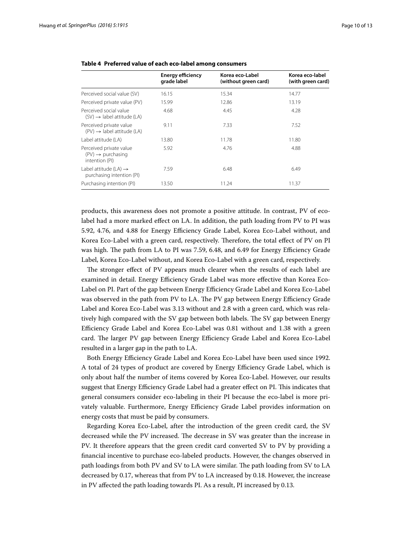|                                                                            | <b>Energy efficiency</b><br>grade label | Korea eco-Label<br>(without green card) | Korea eco-label<br>(with green card) |
|----------------------------------------------------------------------------|-----------------------------------------|-----------------------------------------|--------------------------------------|
| Perceived social value (SV)                                                | 16.15                                   | 15.34                                   | 14.77                                |
| Perceived private value (PV)                                               | 15.99                                   | 12.86                                   | 13.19                                |
| Perceived social value<br>$(SV) \rightarrow$ label attitude (LA)           | 4.68                                    | 4.45                                    | 4.28                                 |
| Perceived private value<br>$(PV) \rightarrow$ label attitude (LA)          | 9.11                                    | 7.33                                    | 7.52                                 |
| Label attitude (LA)                                                        | 13.80                                   | 11.78                                   | 11.80                                |
| Perceived private value<br>$(PV) \rightarrow$ purchasing<br>intention (PI) | 5.92                                    | 4.76                                    | 4.88                                 |
| Label attitude (LA) $\rightarrow$<br>purchasing intention (PI)             | 7.59                                    | 6.48                                    | 6.49                                 |
| Purchasing intention (PI)                                                  | 13.50                                   | 11.24                                   | 11.37                                |

<span id="page-9-0"></span>

|  |  |  | Table 4 Preferred value of each eco-label among consumers |
|--|--|--|-----------------------------------------------------------|
|  |  |  |                                                           |

products, this awareness does not promote a positive attitude. In contrast, PV of ecolabel had a more marked effect on LA. In addition, the path loading from PV to PI was 5.92, 4.76, and 4.88 for Energy Efficiency Grade Label, Korea Eco-Label without, and Korea Eco-Label with a green card, respectively. Therefore, the total effect of PV on PI was high. The path from LA to PI was 7.59, 6.48, and 6.49 for Energy Efficiency Grade Label, Korea Eco-Label without, and Korea Eco-Label with a green card, respectively.

The stronger effect of PV appears much clearer when the results of each label are examined in detail. Energy Efficiency Grade Label was more effective than Korea Eco-Label on PI. Part of the gap between Energy Efficiency Grade Label and Korea Eco-Label was observed in the path from PV to LA. The PV gap between Energy Efficiency Grade Label and Korea Eco-Label was 3.13 without and 2.8 with a green card, which was relatively high compared with the SV gap between both labels. The SV gap between Energy Efficiency Grade Label and Korea Eco-Label was 0.81 without and 1.38 with a green card. The larger PV gap between Energy Efficiency Grade Label and Korea Eco-Label resulted in a larger gap in the path to LA.

Both Energy Efficiency Grade Label and Korea Eco-Label have been used since 1992. A total of 24 types of product are covered by Energy Efficiency Grade Label, which is only about half the number of items covered by Korea Eco-Label. However, our results suggest that Energy Efficiency Grade Label had a greater effect on PI. This indicates that general consumers consider eco-labeling in their PI because the eco-label is more privately valuable. Furthermore, Energy Efficiency Grade Label provides information on energy costs that must be paid by consumers.

Regarding Korea Eco-Label, after the introduction of the green credit card, the SV decreased while the PV increased. The decrease in SV was greater than the increase in PV. It therefore appears that the green credit card converted SV to PV by providing a financial incentive to purchase eco-labeled products. However, the changes observed in path loadings from both PV and SV to LA were similar. The path loading from SV to LA decreased by 0.17, whereas that from PV to LA increased by 0.18. However, the increase in PV affected the path loading towards PI. As a result, PI increased by 0.13.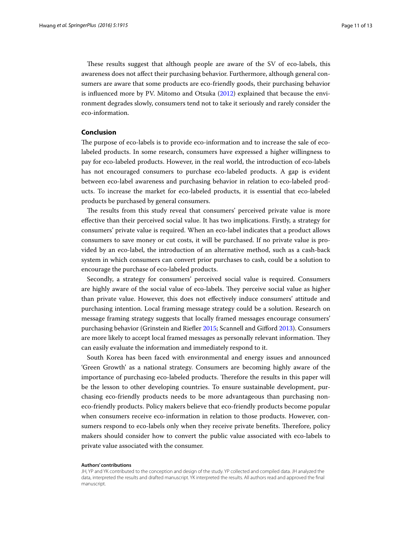These results suggest that although people are aware of the SV of eco-labels, this awareness does not affect their purchasing behavior. Furthermore, although general consumers are aware that some products are eco-friendly goods, their purchasing behavior is influenced more by PV. Mitomo and Otsuka ([2012\)](#page-11-25) explained that because the environment degrades slowly, consumers tend not to take it seriously and rarely consider the eco-information.

# **Conclusion**

The purpose of eco-labels is to provide eco-information and to increase the sale of ecolabeled products. In some research, consumers have expressed a higher willingness to pay for eco-labeled products. However, in the real world, the introduction of eco-labels has not encouraged consumers to purchase eco-labeled products. A gap is evident between eco-label awareness and purchasing behavior in relation to eco-labeled products. To increase the market for eco-labeled products, it is essential that eco-labeled products be purchased by general consumers.

The results from this study reveal that consumers' perceived private value is more effective than their perceived social value. It has two implications. Firstly, a strategy for consumers' private value is required. When an eco-label indicates that a product allows consumers to save money or cut costs, it will be purchased. If no private value is provided by an eco-label, the introduction of an alternative method, such as a cash-back system in which consumers can convert prior purchases to cash, could be a solution to encourage the purchase of eco-labeled products.

Secondly, a strategy for consumers' perceived social value is required. Consumers are highly aware of the social value of eco-labels. They perceive social value as higher than private value. However, this does not effectively induce consumers' attitude and purchasing intention. Local framing message strategy could be a solution. Research on message framing strategy suggests that locally framed messages encourage consumers' purchasing behavior (Grinstein and Riefler [2015](#page-11-10); Scannell and Gifford [2013](#page-12-5)). Consumers are more likely to accept local framed messages as personally relevant information. They can easily evaluate the information and immediately respond to it.

South Korea has been faced with environmental and energy issues and announced 'Green Growth' as a national strategy. Consumers are becoming highly aware of the importance of purchasing eco-labeled products. Therefore the results in this paper will be the lesson to other developing countries. To ensure sustainable development, purchasing eco-friendly products needs to be more advantageous than purchasing noneco-friendly products. Policy makers believe that eco-friendly products become popular when consumers receive eco-information in relation to those products. However, consumers respond to eco-labels only when they receive private benefits. Therefore, policy makers should consider how to convert the public value associated with eco-labels to private value associated with the consumer.

#### **Authors' contributions**

JH, YP and YK contributed to the conception and design of the study. YP collected and compiled data. JH analyzed the data, interpreted the results and drafted manuscript. YK interpreted the results. All authors read and approved the final manuscript.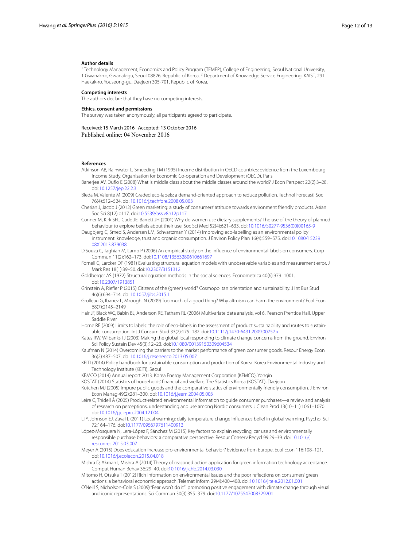#### **Author details**

<sup>1</sup> Technology Management, Economics and Policy Program (TEMEP), College of Engineering, Seoul National University, 1 Gwanak-ro, Gwanak-gu, Seoul 08826, Republic of Korea. <sup>2</sup> Department of Knowledge Service Engineering, KAIST, 291 Haekak‑ro, Youseong‑gu, Daejeon 305‑701, Republic of Korea.

#### **Competing interests**

The authors declare that they have no competing interests.

#### **Ethics, consent and permissions**

The survey was taken anonymously, all participants agreed to participate.

# Received: 15 March 2016 Accepted: 13 October 2016

Published online: 04 November 2016

#### **References**

- <span id="page-11-22"></span>Atkinson AB, Rainwater L, Smeeding TM (1995) Income distribution in OECD countries: evidence from the Luxembourg Income Study. Organisation for Economic Co-operation and Development (OECD), Paris
- <span id="page-11-9"></span>Banerjee AV, Duflo E (2008) What is middle class about the middle classes around the world? J Econ Perspect 22(2):3–28. doi:[10.1257/jep.22.2.3](http://dx.doi.org/10.1257/jep.22.2.3)

<span id="page-11-2"></span>Bleda M, Valente M (2009) Graded eco-labels: a demand-oriented approach to reduce pollution. Technol Forecasti Soc 76(4):512–524. doi[:10.1016/j.techfore.2008.05.003](http://dx.doi.org/10.1016/j.techfore.2008.05.003)

- <span id="page-11-19"></span>Cherian J, Jacob J (2012) Green marketing: a study of consumers' attitude towards environment friendly products. Asían Soc Sci 8(12):p117. doi[:10.5539/ass.v8n12p117](http://dx.doi.org/10.5539/ass.v8n12p117)
- <span id="page-11-17"></span>Conner M, Kirk SFL, Cade JE, Barrett JH (2001) Why do women use dietary supplements? The use of the theory of planned behaviour to explore beliefs about their use. Soc Sci Med 52(4):621–633. doi[:10.1016/S0277-9536\(00\)00165-9](http://dx.doi.org/10.1016/S0277-9536(00)00165-9)

<span id="page-11-3"></span>Daugbjerg C, Smed S, Andersen LM, Schvartzman Y (2014) Improving eco-labelling as an environmental policy instrument: knowledge, trust and organic consumption. J Environ Policy Plan 16(4):559–575. doi:[10.1080/15239](http://dx.doi.org/10.1080/1523908X.2013.879038) [08X.2013.879038](http://dx.doi.org/10.1080/1523908X.2013.879038)

<span id="page-11-8"></span>D'Souza C, Taghian M, Lamb P (2006) An empirical study on the influence of environmental labels on consumers. Corp Commun 11(2):162–173. doi:[10.1108/13563280610661697](http://dx.doi.org/10.1108/13563280610661697)

<span id="page-11-24"></span>Fornell C, Larcker DF (1981) Evaluating structural equation models with unobservable variables and measurement error. J Mark Res 18(1):39–50. doi[:10.2307/3151312](http://dx.doi.org/10.2307/3151312)

<span id="page-11-20"></span>Goldberger AS (1972) Structural equation methods in the social sciences. Econometrica 40(6):979–1001. doi:[10.2307/1913851](http://dx.doi.org/10.2307/1913851)

- <span id="page-11-10"></span>Grinstein A, Riefler P (2015) Citizens of the (green) world? Cosmopolitan orientation and sustainability. J Int Bus Stud 46(6):694–714. doi[:10.1057/jibs.2015.1](http://dx.doi.org/10.1057/jibs.2015.1)
- <span id="page-11-15"></span>Grolleau G, Ibanez L, Mzoughi N (2009) Too much of a good thing? Why altruism can harm the environment? Ecol Econ 68(7):2145–2149
- <span id="page-11-21"></span>Hair JF, Black WC, Babin BJ, Anderson RE, Tatham RL (2006) Multivariate data analysis, vol 6. Pearson Prentice Hall, Upper Saddle River

<span id="page-11-6"></span>Horne RE (2009) Limits to labels: the role of eco-labels in the assessment of product sustainability and routes to sustain-able consumption. Int J Consum Stud 33(2):175-182. doi[:10.1111/j.1470-6431.2009.00752.x](http://dx.doi.org/10.1111/j.1470-6431.2009.00752.x)

- <span id="page-11-13"></span>Kates RW, Wilbanks TJ (2003) Making the global local responding to climate change concerns from the ground. Environ Sci Policy Sustain Dev 45(3):12–23. doi[:10.1080/00139150309604534](http://dx.doi.org/10.1080/00139150309604534)
- <span id="page-11-16"></span>Kaufman N (2014) Overcoming the barriers to the market performance of green consumer goods. Resour Energy Econ 36(2):487–507. doi[:10.1016/j.reseneeco.2013.05.007](http://dx.doi.org/10.1016/j.reseneeco.2013.05.007)
- <span id="page-11-1"></span>KEITI (2014) Policy handbook for sustainable consumption and production of Korea. Korea Environmental Industry and Technology Institute (KEITI), Seoul

<span id="page-11-0"></span>KEMCO (2014) Annual report 2013. Korea Energy Management Corporation (KEMCO), Yongin

<span id="page-11-23"></span>KOSTAT (2014) Statistics of households' financial and welfare. The Statistics Korea (KOSTAT), Daejeon

- <span id="page-11-14"></span>Kotchen MJ (2005) Impure public goods and the comparative statics of environmentally friendly consumption. J Environ Econ Manag 49(2):281–300. doi[:10.1016/j.jeem.2004.05.003](http://dx.doi.org/10.1016/j.jeem.2004.05.003)
- <span id="page-11-7"></span>Leire C, Thidell Å (2005) Product-related environmental information to guide consumer purchases—a review and analysis of research on perceptions, understanding and use among Nordic consumers. J Clean Prod 13(10–11):1061–1070. doi:[10.1016/j.jclepro.2004.12.004](http://dx.doi.org/10.1016/j.jclepro.2004.12.004)
- <span id="page-11-11"></span>Li Y, Johnson EJ, Zaval L (2011) Local warming: daily temperature change influences belief in global warming. Psychol Sci 72:164–176. doi:[10.1177/0956797611400913](http://dx.doi.org/10.1177/0956797611400913)
- <span id="page-11-4"></span>López-Mosquera N, Lera-López F, Sánchez M (2015) Key factors to explain recycling, car use and environmentally responsible purchase behaviors: a comparative perspective. Resour Conserv Recycl 99:29–39. doi:[10.1016/j.](http://dx.doi.org/10.1016/j.resconrec.2015.03.007) [resconrec.2015.03.007](http://dx.doi.org/10.1016/j.resconrec.2015.03.007)
- <span id="page-11-5"></span>Meyer A (2015) Does education increase pro-environmental behavior? Evidence from Europe. Ecol Econ 116:108–121. doi:[10.1016/j.ecolecon.2015.04.018](http://dx.doi.org/10.1016/j.ecolecon.2015.04.018)
- <span id="page-11-18"></span>Mishra D, Akman I, Mishra A (2014) Theory of reasoned action application for green information technology acceptance. Comput Human Behav 36:29–40. doi:[10.1016/j.chb.2014.03.030](http://dx.doi.org/10.1016/j.chb.2014.03.030)
- <span id="page-11-25"></span>Mitomo H, Otsuka T (2012) Rich information on environmental issues and the poor reflections on consumers' green actions: a behavioral economic approach. Telemat Inform 29(4):400–408. doi:[10.1016/j.tele.2012.01.001](http://dx.doi.org/10.1016/j.tele.2012.01.001)
- <span id="page-11-12"></span>O'Neill S, Nicholson-Cole S (2009) "Fear won't do it": promoting positive engagement with climate change through visual and iconic representations. Sci Commun 30(3):355–379. doi:[10.1177/1075547008329201](http://dx.doi.org/10.1177/1075547008329201)